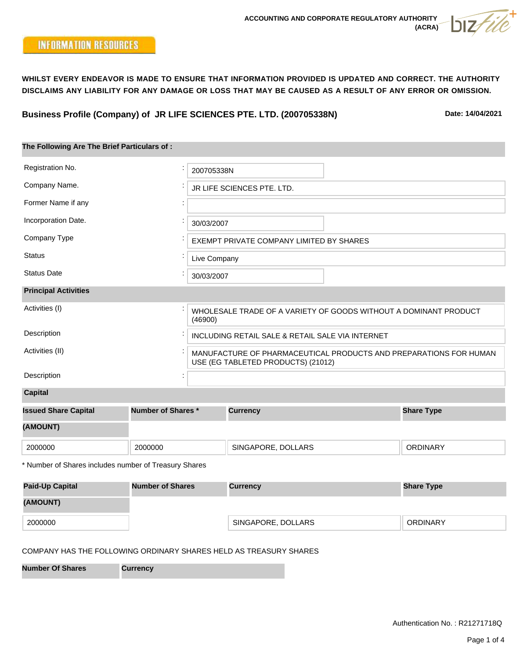**Business Profile (Company) of JR LIFE SCIENCES PTE. LTD. (200705338N)**

**Date: 14/04/2021**

| The Following Are The Brief Particulars of: |                                                                                                         |  |  |  |  |
|---------------------------------------------|---------------------------------------------------------------------------------------------------------|--|--|--|--|
|                                             |                                                                                                         |  |  |  |  |
| Registration No.                            | 200705338N                                                                                              |  |  |  |  |
| Company Name.                               | JR LIFE SCIENCES PTE. LTD.                                                                              |  |  |  |  |
| Former Name if any                          |                                                                                                         |  |  |  |  |
| Incorporation Date.                         | 30/03/2007                                                                                              |  |  |  |  |
| Company Type                                | EXEMPT PRIVATE COMPANY LIMITED BY SHARES                                                                |  |  |  |  |
| <b>Status</b>                               | Live Company                                                                                            |  |  |  |  |
| <b>Status Date</b>                          | 30/03/2007                                                                                              |  |  |  |  |
| <b>Principal Activities</b>                 |                                                                                                         |  |  |  |  |
| Activities (I)                              | WHOLESALE TRADE OF A VARIETY OF GOODS WITHOUT A DOMINANT PRODUCT<br>(46900)                             |  |  |  |  |
| Description                                 | INCLUDING RETAIL SALE & RETAIL SALE VIA INTERNET                                                        |  |  |  |  |
| Activities (II)                             | MANUFACTURE OF PHARMACEUTICAL PRODUCTS AND PREPARATIONS FOR HUMAN<br>USE (EG TABLETED PRODUCTS) (21012) |  |  |  |  |
| Description                                 |                                                                                                         |  |  |  |  |
| <b>Capital</b>                              |                                                                                                         |  |  |  |  |

| <b>Issued Share Capital</b> | <b>Number of Shares *</b> | <b>Currency</b>    | <b>Share Type</b> |  |
|-----------------------------|---------------------------|--------------------|-------------------|--|
| (AMOUNT)                    |                           |                    |                   |  |
| 2000000                     | 2000000                   | SINGAPORE, DOLLARS | <b>ORDINARY</b>   |  |

\* Number of Shares includes number of Treasury Shares

| <b>Paid-Up Capital</b> | <b>Number of Shares</b> | <b>Currency</b>    | <b>Share Type</b> |  |
|------------------------|-------------------------|--------------------|-------------------|--|
| (AMOUNT)               |                         |                    |                   |  |
| 2000000                |                         | SINGAPORE, DOLLARS | <b>ORDINARY</b>   |  |

## COMPANY HAS THE FOLLOWING ORDINARY SHARES HELD AS TREASURY SHARES

**Number Of Shares Currency**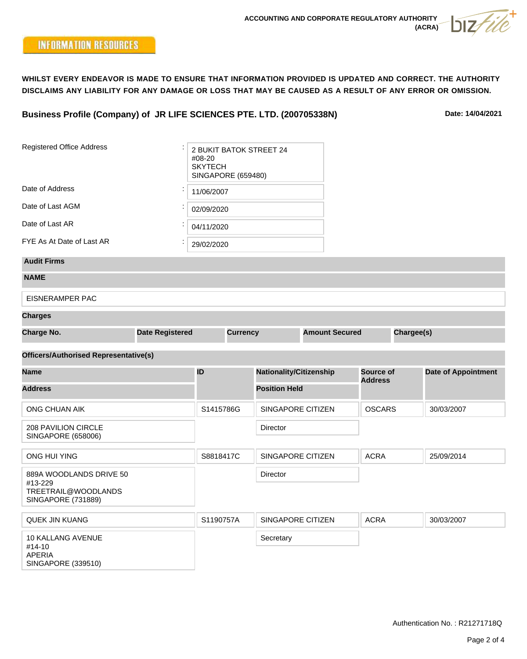**Business Profile (Company) of JR LIFE SCIENCES PTE. LTD. (200705338N)**

**Date: 14/04/2021**

| <b>Registered Office Address</b>                                                | 2 BUKIT BATOK STREET 24<br>#08-20<br><b>SKYTECH</b><br><b>SINGAPORE (659480)</b> |                 |  |                                |  |                  |            |                            |
|---------------------------------------------------------------------------------|----------------------------------------------------------------------------------|-----------------|--|--------------------------------|--|------------------|------------|----------------------------|
| Date of Address                                                                 | 11/06/2007                                                                       |                 |  |                                |  |                  |            |                            |
| Date of Last AGM                                                                | 02/09/2020                                                                       |                 |  |                                |  |                  |            |                            |
| Date of Last AR                                                                 |                                                                                  | 04/11/2020      |  |                                |  |                  |            |                            |
| FYE As At Date of Last AR                                                       |                                                                                  | 29/02/2020      |  |                                |  |                  |            |                            |
| <b>Audit Firms</b>                                                              |                                                                                  |                 |  |                                |  |                  |            |                            |
| <b>NAME</b>                                                                     |                                                                                  |                 |  |                                |  |                  |            |                            |
| <b>EISNERAMPER PAC</b>                                                          |                                                                                  |                 |  |                                |  |                  |            |                            |
| <b>Charges</b>                                                                  |                                                                                  |                 |  |                                |  |                  |            |                            |
| <b>Charge No.</b>                                                               | <b>Date Registered</b>                                                           | <b>Currency</b> |  | <b>Amount Secured</b>          |  |                  | Chargee(s) |                            |
| <b>Officers/Authorised Representative(s)</b>                                    |                                                                                  |                 |  |                                |  |                  |            |                            |
| <b>Name</b>                                                                     |                                                                                  | ID              |  | <b>Nationality/Citizenship</b> |  | <b>Source of</b> |            | <b>Date of Appointment</b> |
| <b>Address</b>                                                                  |                                                                                  |                 |  | <b>Position Held</b>           |  | <b>Address</b>   |            |                            |
| ONG CHUAN AIK                                                                   |                                                                                  | S1415786G       |  | SINGAPORE CITIZEN              |  | <b>OSCARS</b>    |            | 30/03/2007                 |
| 208 PAVILION CIRCLE<br>SINGAPORE (658006)                                       |                                                                                  |                 |  | Director                       |  |                  |            |                            |
| <b>ONG HUI YING</b>                                                             |                                                                                  | S8818417C       |  | SINGAPORE CITIZEN              |  | <b>ACRA</b>      |            | 25/09/2014                 |
| 889A WOODLANDS DRIVE 50<br>#13-229<br>TREETRAIL@WOODLANDS<br>SINGAPORE (731889) |                                                                                  |                 |  | <b>Director</b>                |  |                  |            |                            |
| <b>QUEK JIN KUANG</b>                                                           |                                                                                  | S1190757A       |  | SINGAPORE CITIZEN              |  | <b>ACRA</b>      |            | 30/03/2007                 |
| 10 KALLANG AVENUE<br>#14-10<br><b>APERIA</b><br>SINGAPORE (339510)              |                                                                                  |                 |  | Secretary                      |  |                  |            |                            |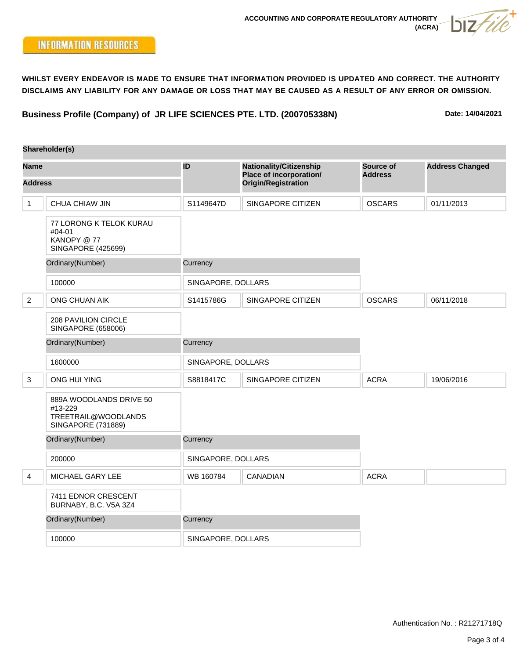**Business Profile (Company) of JR LIFE SCIENCES PTE. LTD. (200705338N)**

**Date: 14/04/2021**

|                               | Shareholder(s)                                                                         |                    |                                                                                                |                             |                        |
|-------------------------------|----------------------------------------------------------------------------------------|--------------------|------------------------------------------------------------------------------------------------|-----------------------------|------------------------|
| <b>Name</b><br><b>Address</b> |                                                                                        | ID                 | <b>Nationality/Citizenship</b><br><b>Place of incorporation/</b><br><b>Origin/Registration</b> | Source of<br><b>Address</b> | <b>Address Changed</b> |
|                               |                                                                                        |                    |                                                                                                |                             |                        |
| $\mathbf 1$                   | CHUA CHIAW JIN                                                                         | S1149647D          | SINGAPORE CITIZEN                                                                              | <b>OSCARS</b>               | 01/11/2013             |
|                               | 77 LORONG K TELOK KURAU<br>#04-01<br>KANOPY @ 77<br><b>SINGAPORE (425699)</b>          |                    |                                                                                                |                             |                        |
|                               | Ordinary(Number)                                                                       | Currency           |                                                                                                |                             |                        |
|                               | 100000                                                                                 | SINGAPORE, DOLLARS |                                                                                                |                             |                        |
| 2                             | ONG CHUAN AIK                                                                          | S1415786G          | SINGAPORE CITIZEN                                                                              | <b>OSCARS</b>               | 06/11/2018             |
|                               | <b>208 PAVILION CIRCLE</b><br><b>SINGAPORE (658006)</b>                                |                    |                                                                                                |                             |                        |
|                               | Ordinary(Number)                                                                       | Currency           |                                                                                                |                             |                        |
|                               | 1600000                                                                                | SINGAPORE, DOLLARS |                                                                                                |                             |                        |
| 3                             | ONG HUI YING                                                                           | S8818417C          | SINGAPORE CITIZEN                                                                              | <b>ACRA</b>                 | 19/06/2016             |
|                               | 889A WOODLANDS DRIVE 50<br>#13-229<br>TREETRAIL@WOODLANDS<br><b>SINGAPORE (731889)</b> |                    |                                                                                                |                             |                        |
|                               | Ordinary(Number)                                                                       | Currency           |                                                                                                |                             |                        |
|                               | 200000                                                                                 | SINGAPORE, DOLLARS |                                                                                                |                             |                        |
| 4                             | MICHAEL GARY LEE                                                                       | WB 160784          | CANADIAN                                                                                       | <b>ACRA</b>                 |                        |
|                               | 7411 EDNOR CRESCENT<br>BURNABY, B.C. V5A 3Z4                                           |                    |                                                                                                |                             |                        |
|                               | Ordinary(Number)                                                                       | Currency           |                                                                                                |                             |                        |
|                               | 100000                                                                                 | SINGAPORE, DOLLARS |                                                                                                |                             |                        |